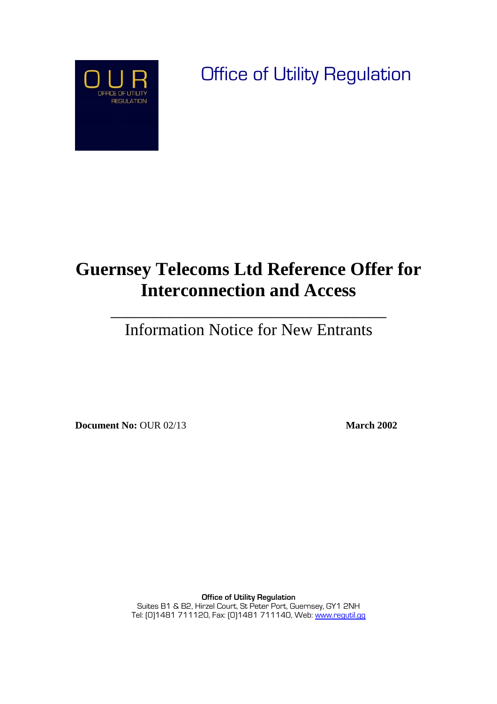

Office of Utility Regulation

## **Guernsey Telecoms Ltd Reference Offer for Interconnection and Access**

Information Notice for New Entrants

 $\frac{1}{2}$  ,  $\frac{1}{2}$  ,  $\frac{1}{2}$  ,  $\frac{1}{2}$  ,  $\frac{1}{2}$  ,  $\frac{1}{2}$  ,  $\frac{1}{2}$  ,  $\frac{1}{2}$  ,  $\frac{1}{2}$  ,  $\frac{1}{2}$  ,  $\frac{1}{2}$  ,  $\frac{1}{2}$  ,  $\frac{1}{2}$  ,  $\frac{1}{2}$  ,  $\frac{1}{2}$  ,  $\frac{1}{2}$  ,  $\frac{1}{2}$  ,  $\frac{1}{2}$  ,  $\frac{1$ 

**Document No:** OUR 02/13 **March 2002** 

**Office of Utility Regulation**  Suites B1 & B2, Hirzel Court, St Peter Port, Guernsey, GY1 2NH Tel: [0]1481 711120, Fax: [0]1481 711140, Web: www.regutil.gg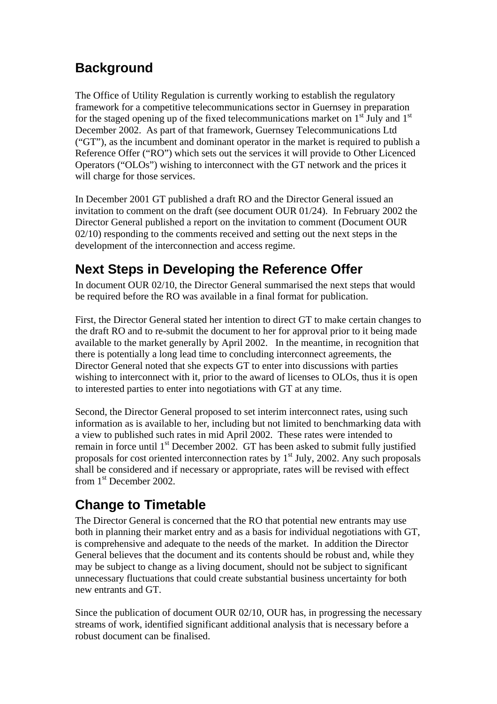## **Background**

The Office of Utility Regulation is currently working to establish the regulatory framework for a competitive telecommunications sector in Guernsey in preparation for the staged opening up of the fixed telecommunications market on  $1<sup>st</sup>$  July and  $1<sup>st</sup>$ December 2002. As part of that framework, Guernsey Telecommunications Ltd ("GT"), as the incumbent and dominant operator in the market is required to publish a Reference Offer ("RO") which sets out the services it will provide to Other Licenced Operators ("OLOs") wishing to interconnect with the GT network and the prices it will charge for those services.

In December 2001 GT published a draft RO and the Director General issued an invitation to comment on the draft (see document OUR 01/24). In February 2002 the Director General published a report on the invitation to comment (Document OUR 02/10) responding to the comments received and setting out the next steps in the development of the interconnection and access regime.

## **Next Steps in Developing the Reference Offer**

In document OUR 02/10, the Director General summarised the next steps that would be required before the RO was available in a final format for publication.

First, the Director General stated her intention to direct GT to make certain changes to the draft RO and to re-submit the document to her for approval prior to it being made available to the market generally by April 2002. In the meantime, in recognition that there is potentially a long lead time to concluding interconnect agreements, the Director General noted that she expects GT to enter into discussions with parties wishing to interconnect with it, prior to the award of licenses to OLOs, thus it is open to interested parties to enter into negotiations with GT at any time.

Second, the Director General proposed to set interim interconnect rates, using such information as is available to her, including but not limited to benchmarking data with a view to published such rates in mid April 2002. These rates were intended to remain in force until  $1<sup>st</sup>$  December 2002. GT has been asked to submit fully justified proposals for cost oriented interconnection rates by  $1<sup>st</sup>$  July, 2002. Any such proposals shall be considered and if necessary or appropriate, rates will be revised with effect from 1st December 2002.

## **Change to Timetable**

The Director General is concerned that the RO that potential new entrants may use both in planning their market entry and as a basis for individual negotiations with GT, is comprehensive and adequate to the needs of the market. In addition the Director General believes that the document and its contents should be robust and, while they may be subject to change as a living document, should not be subject to significant unnecessary fluctuations that could create substantial business uncertainty for both new entrants and GT.

Since the publication of document OUR 02/10, OUR has, in progressing the necessary streams of work, identified significant additional analysis that is necessary before a robust document can be finalised.